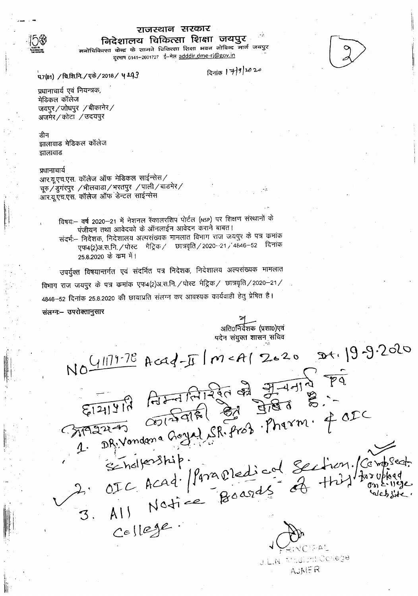

# राजस्थान सरकार

निदेशालय चिकित्सा शिक्षा जयपुर मनोचिकित्सा केन्द्र के सामने चिकित्सा शिक्षा भवन गोविन्द मार्ग जयपुर दूरमाष 0141-2601727 ई-मेल adddir.dme-ri@gov.in

प7(81) / चि.शि.नि. / एके / 2018 / 4 193

दिनांक 17/9/2020

प्रधानाचार्य एवं नियन्त्रक, मेडिकल कॉलेज जयपुर/जोधपुर /बीकानेर/ अजमेर / कोटा / उदयपुर

#### डीन

झालावाड मेडिकल कॉलेज झालावाड

# प्रधानाचार्य

आर.यू.एच.एस. कॉलेज ऑफ मेडिकल साईन्सेस/ चूरु / डुगरपुर / भीलवाडा / भरतपुर / पाली / बाडमेर / आर.यू.एच.एस. कॉलेज ऑफ डेन्टल साईन्सेस

> विषयः- वर्ष 2020-21 में नेशनल स्कालरशिप पोर्टल (NSP) पर शिक्षण संस्थानों के पंजीयन तथा आवेदको के ऑनलाईन आवेदन कराने बाबत। संदर्भः-- निदेशक, निदेशालय अल्पसंख्यक मामलात विभाग राज जयपुर के पत्र कमांक

एफ4(2)अ.स.नि. / पोस्ट मैट्रिक / छात्रवृति / 2020--21 / 4846-52 दिनांक 25.8.2020 के कम में।

उपर्युक्त विषयान्तर्गत एवं संदर्भित पत्र निदेशक, निदेशालय अल्पसंख्यक मामलात विभाग राज जयपुर के पत्र कमांक एफ4(2)अ.स.नि. / पोस्ट भेट्रिक / छात्रवृति / 2020–21 / 4846–52 दिनांक 25.8.2020 की छायाप्रति संलग्न कर आवश्यक कार्यवाही हेतु प्रेषित है।

संलग्न – उपरोक्तानुसार

अतिoनिर्वेशक (प्रशा0)एवं यदेन संयुक्त शासन सचिव

NO 417778 Acad-II | M < A1 2020 20+ 19-9.2020 2. OIC Acad. / Para oredical Section./Compset.<br>3. AII Nation Boards of this for website. Cellege. 1위A도 U.L.N. Modieti College

AUNER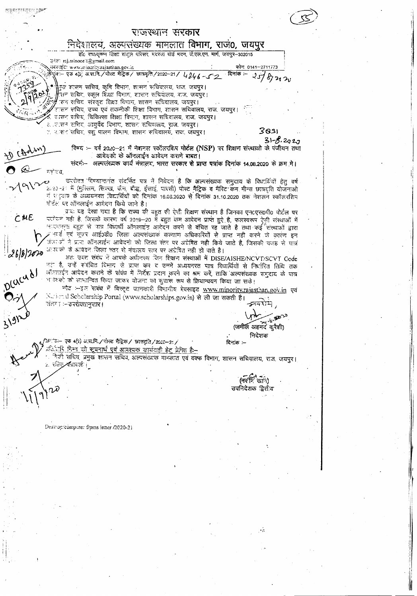espera program pop राजस्थान सरकार निदेशालय, अल्पलेख्यक मामलात विभाग, राज0, जयपुर .<br>हाँ राधाकृष्णन शिक्षा संस्तुल परिसर मदरता बोर्ड मदन, जे.एल.एन. मार्ग, जयपुर-302015 उनेल: raj.minoce @gmail.com userge: www.minority.rajasthan.gov.in फोनः 0141–271177: क्रेश्लेक – एक 4(2) अ.स.नि./पोस्ट मैट्रिक / छात्रवृत्ति / 2020-21 /  $4846 - 12$  दिनांक :- $2518222$ कुष्ट शासन सचिव, कृषि विभाग, शासन सचिवालय, राज, जयपुर। ्<br>सन संचित, स्कूल शिक्षा विभाग, शासन संचिवालय, राज, जयपुर। त्सन सचिव संस्कृत शिक्षा विभाग, शासन सचिवालय, जयपुर। रासन सचिव, उच्च एवं तकनीकी शिक्षा विभाग, शासन सचिवालय, राज, जयपूर। शतन सचिव, विकित्सा शिक्षा विमाग, शासन सचिवालय, राज, जयपुर। ८. २.सन सचिर, आयुर्वेद विभाग, शासन सचिवालय, राज, जयपुर।  $3831$ ७. २.२६४ सचिव, पशु पालन विभाग, शासन सचिवालये, राज, जयपुर।  $31 - 8.2027$ विषय :- वर्ष 2020-21 में नेशनल स्कॉलरशिप पोर्टल (NSP) पर शिक्षण संस्थाओं के पंजीयन तथा आवेदको के ऑनलाईन आवेदन कराने बाबत। संदर्भ - अल्पसंख्यक कार्य मंत्रालय, भारत सरकार से प्राप्त पत्रांक दिनांक 14.08.2020 के क्रम में। महोत्य. उपरोक्त विषयाकर्मत संदर्भित पत्र में निवेदन है कि अल्पसंख्यक समुदाय के विधार्थियों हेतु वर्ष وبر 2020-21 में (मुक्तिम, सिल्ख, जैन, बौद्ध, ईसाई, पारसी) पोस्ट मैटिक व मैरिट कम मीन्स छात्रवति योजनाओ नं सद्भाय के अध्ययनरत विद्यार्थियों को दिनांक 16.03.2020 से दिनांक 31.10.2020 तक नेशलन स्कॉलरशिप पोर्टल पर ऑनलाईन आवेदन किये जाने है। प्रायः यह देखा गया है कि राज्य की बहुत सी ऐसी शिक्षण संस्थान है जिनका एन0एस0पी0 पोर्टल पर  $CME$ परमेयन नहीं हैं, जिसके कारण वर्ष 2019-20 में बहुत कम आवेदन प्राप्त हुऐ है, फलस्वरूप ऐसी संस्थाओं में अन्यनगरा बहुत से पात्र विधार्थी ऑनलाईन आदेदन करने से बंचित रह जाते है तथा कई संख्याओं द्वारा ्र नवर्ड एवं यूपार आई0डी6 जिला अल्पसंख्यकं कल्याण अधिकारियों से प्राप्त नहीं करने के कारण इन - स्थान के पार आश्च का जाता जलराज्यस्य सरकार सम्मान को क्ये जाते हैं, जिसकी वजह से पात्र<br>- संसादों ने प्रास ऑनलाईन आवेदनों को जिला स्तर पर अग्रेषित नहीं किये जाते हैं, जिसकी वजह से पात्र<br>- - - - - - - - - - - - - - - - - आपवकों के आवेदन जिला स्तर से मंत्रालय स्तर पर अंग्रेषित नहीं हो पाते हैं।  $268/2020$ अतः उस्त संबंध नें आपके अधीनस्थ जिन शिक्षण संस्थाओं में DISE/AISHE/NCVT/SCVT Code नहीं हैं, उन्हें संबंधित दिभाग से प्राप्त कर द उनमें अध्ययनरत पात्र विधार्थियों से निर्धारित तिथि तक ऑंडलाईन आवेदन कराने के संबंध में लिर्देश प्रदान करने का श्रम करें, ताकि अत्यसंख्यक समुदाय के पात्र भ बैठकों को सामान्वित किया जाकर योजना का मुचारू रूप से क्रियान्वयन किया जा सके। नोट --इन सबंध में विस्तृत जानकारी विभागीय बेक्साइट www.minority.rajasthan.gov.in एवं National Scholarship Portal (www.scholarships.gov.in) से ली जा सकती है। संतर । – उपरास्तानसार । متهجو .<br>(जमील अहमद कुरैशी) निदेशक /≫ंक∺ एक 4(2) अ.स.नि.∕ पोस्ट मैट्रिक ⁄ाञ्चन्नदृति / 2020–21 / दिनांक :– अनिर्तारे <u>चिन्न को सूचनार्थ एवं आक्रयक कार्यवाही हेलू प्रेलित</u> है:--ेजी सचिव, प्रमुख शासन सचिव, अल्पसंख्यक मानलात एवं वक्फ विभाग, शासन सचिवालय, राज, जयपुर। ≥ रक्ति**∕∕**श्रीवर्तः।  $(\pi \in \mathbb{R}^2)$ उपनिदेशक द्वितीय Deskrop/computer f/pms letter /2020-21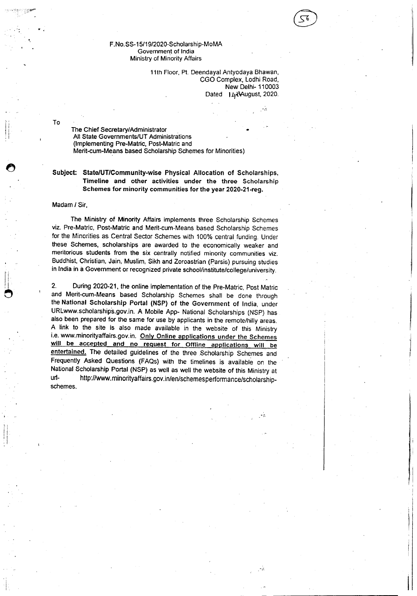## F.No.SS-15/19/2020-Scholarship-MoMA Government of India Ministry of MinorityAffairs

11th Floor. Pt. Deendayal Antyodaya Shawan, CGO Complex, Lodhi Road, New Delhi- 110003 Dated | LytAugust, 2020.

--I":

To

"

The Chief Secretary/Administrator All State Governments/UT Administrations (Implementing Pre-Matric, Post-Matricand Merit-cum-Means based Scholarship Schemes for Minorities)

Subject: State/UT/Community-wise Physical Allocation of Scholarships, Timeline and other activities under the three Scholarship Schemes for minority communities for the year 2020-21-reg.

## Madam*I* Sir,

The Ministry of Minority Affairs implements three Scholarship Schemes viz. Pre-Matric, Post-Matric and Merit-cum-Means based Scholarship Schemes for the Minorities as Central Sector Schemes with 100% central funding. Under these Schemes, scholarships are awarded to the economically weaker and meritorious students from the six centrally notified minority communities viz. Buddhist.Christian. Jain, Muslim, Sikh and Zoroastrian (Parsis) pursuing studies in India in a Government or recognized private school/institute/college/university.

2. During 2020-21. the online implementation of the Pre-Matric, Post Matric and Merit-cum-Means based Scholarship Schemes shall be done through the National Scholarship Portal (NSP) of the Government of India, under URLwww.scholarships.gov.in. A Mobile App- National Scholarships (NSP) has also been prepared for the same for use by applicants in the remote/hilly areas. A link to the site is also made available in the website of this Ministry i.e. www.minorityaffairs.gov.in. Only Online applications under the Schemes will be accepted and no request for Offline applications will be entertained. The detailed guidelines of the three Scholarship Schemes and Frequently Asked Questions (FAQs) with the timelines is available on the National Scholarship Portal (NSP) as well as well the website of this Ministry at url- http://www.minorityaffairs.gov.in/en/schemesperformance/scholarshipschemes.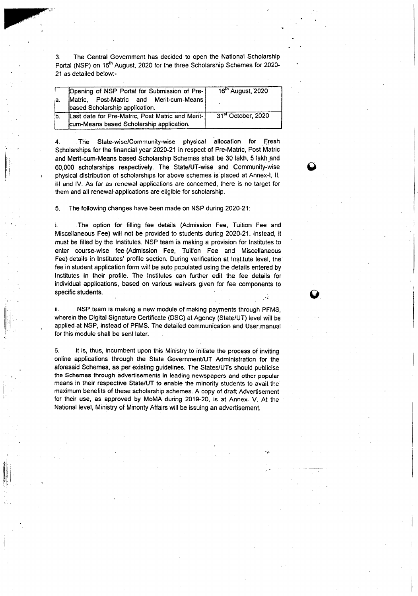3. The Central Government has decided to open the National Scholarship Portal (NSP) on 16<sup>th</sup> August, 2020 for the three Scholarship Schemes for 2020-21 as detailed below:-

| la. | Opening of NSP Portal for Submission of Pre-<br>Matric, Post-Matric and Merit-cum-Means<br>based Scholarship application. | 16 <sup>th</sup> August, 2020  |
|-----|---------------------------------------------------------------------------------------------------------------------------|--------------------------------|
| lb. | Last date for Pre-Matric, Post Matric and Merit-<br>cum-Means based Scholarship application.                              | 31 <sup>st</sup> October, 2020 |

The State-wise/Community-wise physical allocation for Fresh Scholarships for the financial year 2020-21 in respect of Pre-Matric, Post Matric and Merit-cum-Means based Scholarship Schemes shall be 30 lakh, 5 lakh\_and 60,000 scholarships respectively. The State/UT-wise and Community-wise " physical distribution of scholarships for above schemes is placed at Annex-I, II, III and IV. As far as renewal applications are concemed, there is no target for them and all renewal·applications are eligible for scholarship.

5. The following changes have been made on NSP during 2020-21:

i. The option for filling fee details (Admission Fee, Tuition Fee and Miscellaneous Fee) will not be provided to students during 2020-21. Instead, it must be filled by the Institutes. NSP team is making a provision for Institutes to enter course-wise fee (Admission Fee, Tuition Fee and Miscellaneous Fee) details in Institutes' profile section. During verification at Institute level, the fee in student application form will be auto populated using the details entered by Institutes in their profile. The Institutes can further edit the fee details for individual applications, based on various waivers given for fee components to specific students.

ii. NSP team is making a new module of making payments through PFMS, wherein the Digital Signature Certificate (DSC) at Agency (State/UT) level will be applied at NSP, instead of PFMS. The detailed communication and User manual for this module shall be sent later.

ll. : I

> 6. It is, thus, incumbent upon this Ministry to initiate the process of inviting online applications through the State Government/UT Administration for the aforesaid Schemes, as per existing guidelines. The States/UTs should publicise the Schemes through advertisements in leading newspapers and other popular means in their respective State/UT to enable the minority students to avail the maximum benefits of these scholarship schemes. A copy of draft Advertisement for their use, as approved by MoMA during 2019-20, is at Annex- V. At the National level, Ministry of Minority Affairs will be issuing an advertisement.